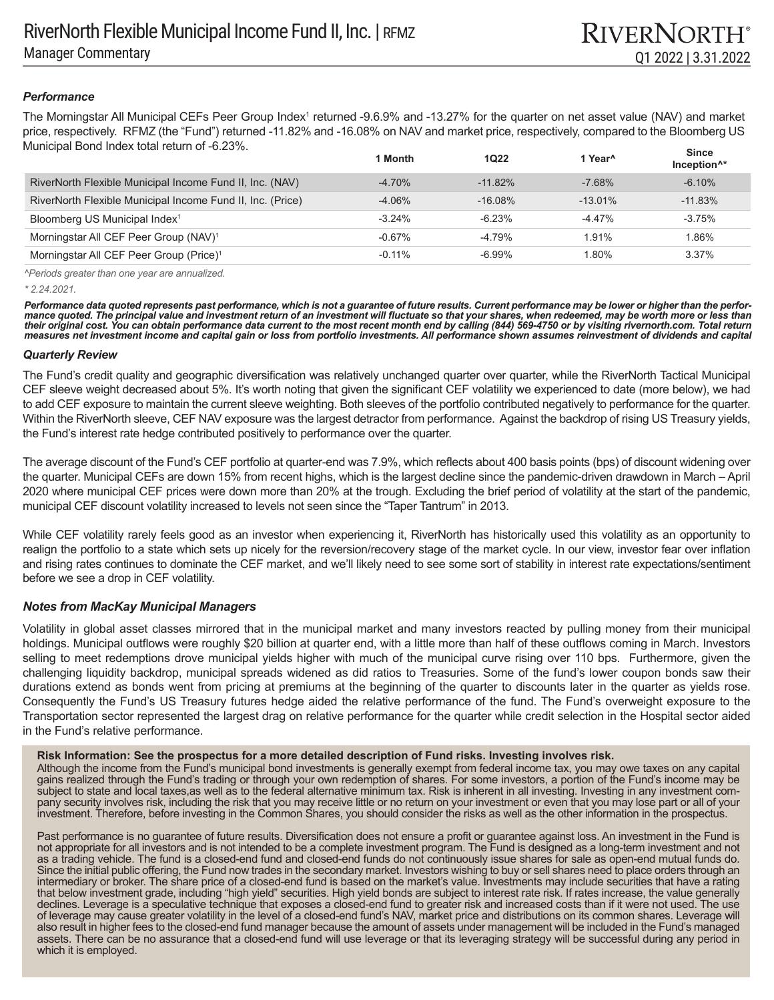# *Performance*

The Morningstar All Municipal CEFs Peer Group Index<sup>1</sup> returned -9.6.9% and -13.27% for the quarter on net asset value (NAV) and market price, respectively. RFMZ (the "Fund") returned -11.82% and -16.08% on NAV and market price, respectively, compared to the Bloomberg US Municipal Bond Index total return of -6.23%.

|                                                            | 1 Month   | <b>1Q22</b> | 1 Year <sup>^</sup> | <b>Since</b><br>Inception <sup>1*</sup> |
|------------------------------------------------------------|-----------|-------------|---------------------|-----------------------------------------|
| RiverNorth Flexible Municipal Income Fund II, Inc. (NAV)   | $-4.70%$  | $-11.82%$   | $-7.68%$            | $-6.10%$                                |
| RiverNorth Flexible Municipal Income Fund II, Inc. (Price) | $-4.06%$  | $-16.08\%$  | $-13.01\%$          | $-11.83%$                               |
| Bloomberg US Municipal Index <sup>1</sup>                  | $-3.24%$  | $-6.23%$    | -4.47%              | $-3.75%$                                |
| Morningstar All CEF Peer Group (NAV) <sup>1</sup>          | $-0.67\%$ | -4.79%      | 1.91%               | 1.86%                                   |
| Morningstar All CEF Peer Group (Price) <sup>1</sup>        | $-0.11\%$ | $-6.99\%$   | 1.80%               | 3.37%                                   |

*^Periods greater than one year are annualized.*

*\* 2.24.2021.* 

*Performance data quoted represents past performance, which is not a guarantee of future results. Current performance may be lower or higher than the performance quoted. The principal value and investment return of an investment will fluctuate so that your shares, when redeemed, may be worth more or less than their original cost. You can obtain performance data current to the most recent month end by calling (844) 569-4750 or by visiting rivernorth.com. Total return measures net investment income and capital gain or loss from portfolio investments. All performance shown assumes reinvestment of dividends and capital* 

### *Quarterly Review*

The Fund's credit quality and geographic diversification was relatively unchanged quarter over quarter, while the RiverNorth Tactical Municipal CEF sleeve weight decreased about 5%. It's worth noting that given the significant CEF volatility we experienced to date (more below), we had to add CEF exposure to maintain the current sleeve weighting. Both sleeves of the portfolio contributed negatively to performance for the quarter. Within the RiverNorth sleeve, CEF NAV exposure was the largest detractor from performance. Against the backdrop of rising US Treasury yields, the Fund's interest rate hedge contributed positively to performance over the quarter.

The average discount of the Fund's CEF portfolio at quarter-end was 7.9%, which reflects about 400 basis points (bps) of discount widening over the quarter. Municipal CEFs are down 15% from recent highs, which is the largest decline since the pandemic-driven drawdown in March – April 2020 where municipal CEF prices were down more than 20% at the trough. Excluding the brief period of volatility at the start of the pandemic, municipal CEF discount volatility increased to levels not seen since the "Taper Tantrum" in 2013.

While CEF volatility rarely feels good as an investor when experiencing it, RiverNorth has historically used this volatility as an opportunity to realign the portfolio to a state which sets up nicely for the reversion/recovery stage of the market cycle. In our view, investor fear over inflation and rising rates continues to dominate the CEF market, and we'll likely need to see some sort of stability in interest rate expectations/sentiment before we see a drop in CEF volatility.

# *Notes from MacKay Municipal Managers*

Volatility in global asset classes mirrored that in the municipal market and many investors reacted by pulling money from their municipal holdings. Municipal outflows were roughly \$20 billion at quarter end, with a little more than half of these outflows coming in March. Investors selling to meet redemptions drove municipal yields higher with much of the municipal curve rising over 110 bps. Furthermore, given the challenging liquidity backdrop, municipal spreads widened as did ratios to Treasuries. Some of the fund's lower coupon bonds saw their durations extend as bonds went from pricing at premiums at the beginning of the quarter to discounts later in the quarter as yields rose. Consequently the Fund's US Treasury futures hedge aided the relative performance of the fund. The Fund's overweight exposure to the Transportation sector represented the largest drag on relative performance for the quarter while credit selection in the Hospital sector aided in the Fund's relative performance.

### **Risk Information: See the prospectus for a more detailed description of Fund risks. Investing involves risk.**

Although the income from the Fund's municipal bond investments is generally exempt from federal income tax, you may owe taxes on any capital gains realized through the Fund's trading or through your own redemption of shares. For some investors, a portion of the Fund's income may be subject to state and local taxes, as well as to the federal alternative minimum tax. Risk is inherent in all investing. Investing in any investment company security involves risk, including the risk that you may receive little or no return on your investment or even that you may lose part or all of your investment. Therefore, before investing in the Common Shares, you should consider the risks as well as the other information in the prospectus.

Past performance is no guarantee of future results. Diversification does not ensure a profit or guarantee against loss. An investment in the Fund is not appropriate for all investors and is not intended to be a complete investment program. The Fund is designed as a long-term investment and not as a trading vehicle. The fund is a closed-end fund and closed-end funds do not continuously issue shares for sale as open-end mutual funds do. Since the initial public offering, the Fund now trades in the secondary market. Investors wishing to buy or sell shares need to place orders through an intermediary or broker. The share price of a closed-end fund is based on the market's value. Investments may include securities that have a rating that below investment grade, including "high yield" securities. High yield bonds are subject to interest rate risk. If rates increase, the value generally declines. Leverage is a speculative technique that exposes a closed-end fund to greater risk and increased costs than if it were not used. The use of leverage may cause greater volatility in the level of a closed-end fund's NAV, market price and distributions on its common shares. Leverage will also result in higher fees to the closed-end fund manager because the amount of assets under management will be included in the Fund's managed assets. There can be no assurance that a closed-end fund will use leverage or that its leveraging strategy will be successful during any period in which it is employed.